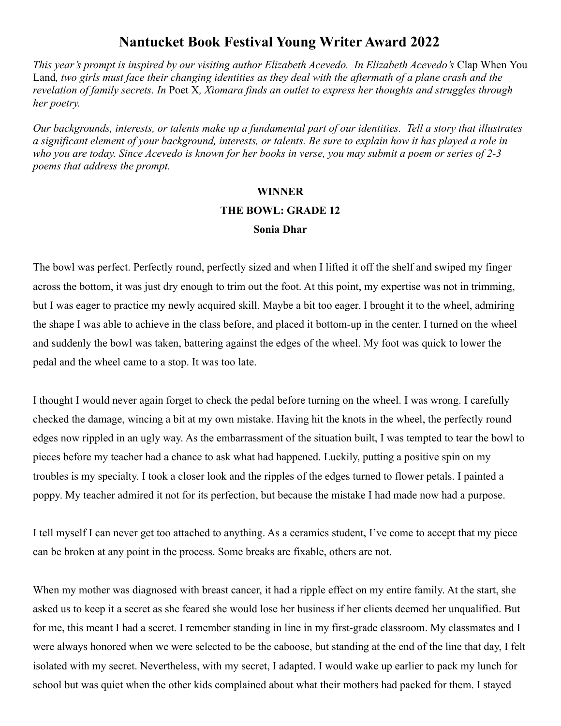### **Nantucket Book Festival Young Writer Award 2022**

*This year's prompt is inspired by our visiting author Elizabeth Acevedo. In Elizabeth Acevedo's* Clap When You Land*, two girls must face their changing identities as they deal with the aftermath of a plane crash and the revelation of family secrets. In* Poet X*, Xiomara finds an outlet to express her thoughts and struggles through her poetry.*

*Our backgrounds, interests, or talents make up a fundamental part of our identities. Tell a story that illustrates a significant element of your background, interests, or talents. Be sure to explain how it has played a role in who you are today. Since Acevedo is known for her books in verse, you may submit a poem or series of 2-3 poems that address the prompt.*

## **WINNER THE BOWL: GRADE 12 Sonia Dhar**

The bowl was perfect. Perfectly round, perfectly sized and when I lifted it off the shelf and swiped my finger across the bottom, it was just dry enough to trim out the foot. At this point, my expertise was not in trimming, but I was eager to practice my newly acquired skill. Maybe a bit too eager. I brought it to the wheel, admiring the shape I was able to achieve in the class before, and placed it bottom-up in the center. I turned on the wheel and suddenly the bowl was taken, battering against the edges of the wheel. My foot was quick to lower the pedal and the wheel came to a stop. It was too late.

I thought I would never again forget to check the pedal before turning on the wheel. I was wrong. I carefully checked the damage, wincing a bit at my own mistake. Having hit the knots in the wheel, the perfectly round edges now rippled in an ugly way. As the embarrassment of the situation built, I was tempted to tear the bowl to pieces before my teacher had a chance to ask what had happened. Luckily, putting a positive spin on my troubles is my specialty. I took a closer look and the ripples of the edges turned to flower petals. I painted a poppy. My teacher admired it not for its perfection, but because the mistake I had made now had a purpose.

I tell myself I can never get too attached to anything. As a ceramics student, I've come to accept that my piece can be broken at any point in the process. Some breaks are fixable, others are not.

When my mother was diagnosed with breast cancer, it had a ripple effect on my entire family. At the start, she asked us to keep it a secret as she feared she would lose her business if her clients deemed her unqualified. But for me, this meant I had a secret. I remember standing in line in my first-grade classroom. My classmates and I were always honored when we were selected to be the caboose, but standing at the end of the line that day, I felt isolated with my secret. Nevertheless, with my secret, I adapted. I would wake up earlier to pack my lunch for school but was quiet when the other kids complained about what their mothers had packed for them. I stayed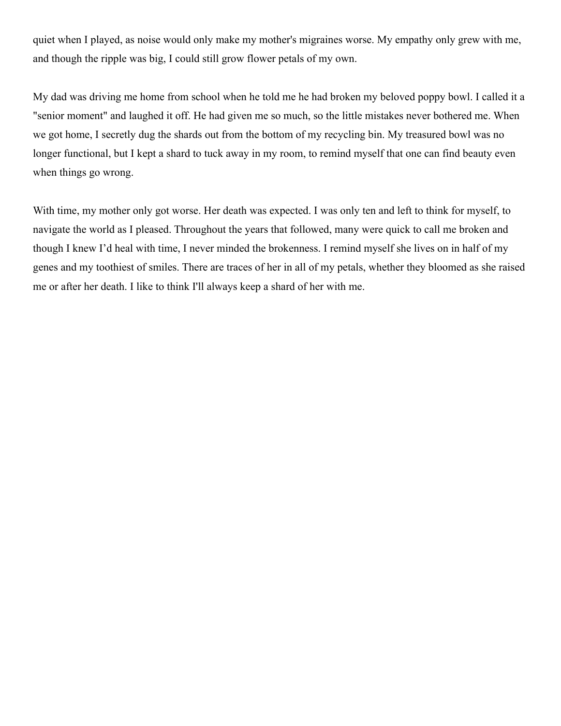quiet when I played, as noise would only make my mother's migraines worse. My empathy only grew with me, and though the ripple was big, I could still grow flower petals of my own.

My dad was driving me home from school when he told me he had broken my beloved poppy bowl. I called it a "senior moment" and laughed it off. He had given me so much, so the little mistakes never bothered me. When we got home, I secretly dug the shards out from the bottom of my recycling bin. My treasured bowl was no longer functional, but I kept a shard to tuck away in my room, to remind myself that one can find beauty even when things go wrong.

With time, my mother only got worse. Her death was expected. I was only ten and left to think for myself, to navigate the world as I pleased. Throughout the years that followed, many were quick to call me broken and though I knew I'd heal with time, I never minded the brokenness. I remind myself she lives on in half of my genes and my toothiest of smiles. There are traces of her in all of my petals, whether they bloomed as she raised me or after her death. I like to think I'll always keep a shard of her with me.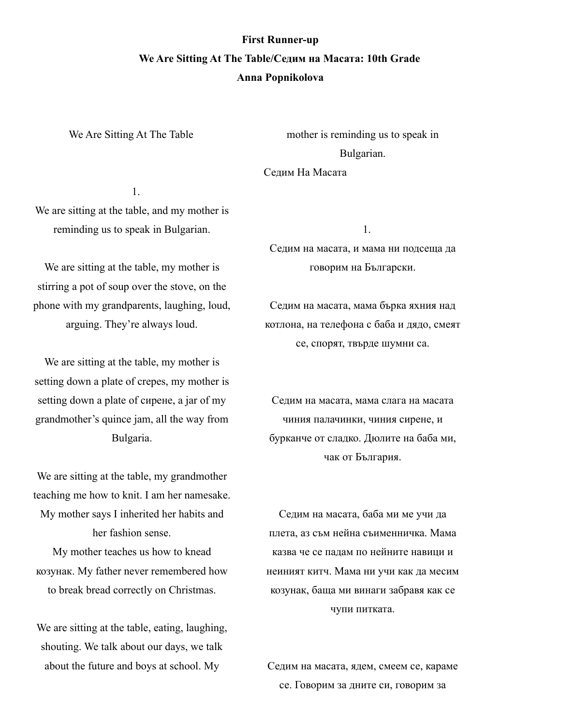## **First Runner-up We Are Sitting At The Table/Седим на Масата: 10th Grade Anna Popnikolova**

We Are Sitting At The Table

mother is reminding us to speak in Bulgarian.

Седим На Масата

1.

We are sitting at the table, and my mother is reminding us to speak in Bulgarian.

We are sitting at the table, my mother is stirring a pot of soup over the stove, on the phone with my grandparents, laughing, loud, arguing. They're always loud.

We are sitting at the table, my mother is setting down a plate of crepes, my mother is setting down a plate of сирене, a jar of my grandmother's quince jam, all the way from Bulgaria.

We are sitting at the table, my grandmother teaching me how to knit. I am her namesake. Мy mother says I inherited her habits and her fashion sense.

My mother teaches us how to knead козунак. My father never remembered how to break bread correctly on Christmas.

We are sitting at the table, eating, laughing, shouting. We talk about our days, we talk about the future and boys at school. My

1.

Седим на масата, и мама ни подсеща да говорим на Български.

Седим на масата, мама бърка яхния над котлона, на телефона с баба и дядо, смеят се, спорят, твърде шумни са.

Седим на масата, мама слага на масата чиния палачинки, чиния сирене, и бурканче от сладко. Дюлите на баба ми, чак от България.

Седим на масата, баба ми ме учи да плета, аз съм нейна съименничка. Mама казва че се падам по нейните навици и неиният китч. Мама ни учи как да месим козунак, баща ми винаги забравя как се чупи питката.

Седим на масата, ядем, смеем се, караме се. Говорим за дните си, говорим за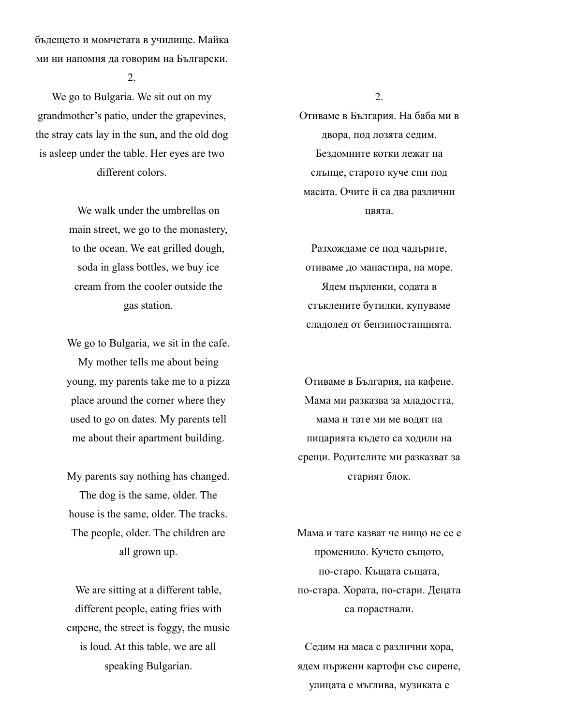бъдещето и момчетата в училище. Майка ми ни напомня да говорим на Български.

2.

We go to Bulgaria. We sit out on my grandmother's patio, under the grapevines, the stray cats lay in the sun, and the old dog is asleep under the table. Her eyes are two different colors.

> We walk under the umbrellas on main street, we go to the monastery, to the ocean. We eat grilled dough, soda in glass bottles, we buy ice cream from the cooler outside the gas station.

We go to Bulgaria, we sit in the cafe. My mother tells me about being young, my parents take me to a pizza place around the corner where they used to go on dates. My parents tell me about their apartment building.

My parents say nothing has changed. The dog is the same, older. The house is the same, older. The tracks. The people, older. The children are all grown up.

We are sitting at a different table, different people, eating fries with сирене, the street is foggy, the music is loud. At this table, we are all speaking Bulgarian.

2.

Отиваме в България. На баба ми в двора, под лозята седим. Бездомните котки лежат на слънце, старото куче спи под масата. Очите й са два различни цвята.

Разхождаме се под чадърите, отиваме до манастира, на море. Ядем пърленки, содата в стъклените бутилки, купуваме сладолед от бензиностанцията.

Отиваме в България, на кафене. Мама ми разказва за младостта, мама и тате ми ме водят на пицарията където са ходили на срещи. Родителите ми разказват за старият блок.

Мама и тате казват че нищо не се е променило. Кучето същото, по-старо. Къщата същата, по-стара. Хората, по-стари. Децата са порастнали.

Седим на маса с различни хора, ядем пържени картофи със сирене, улицата е мъглива, музиката е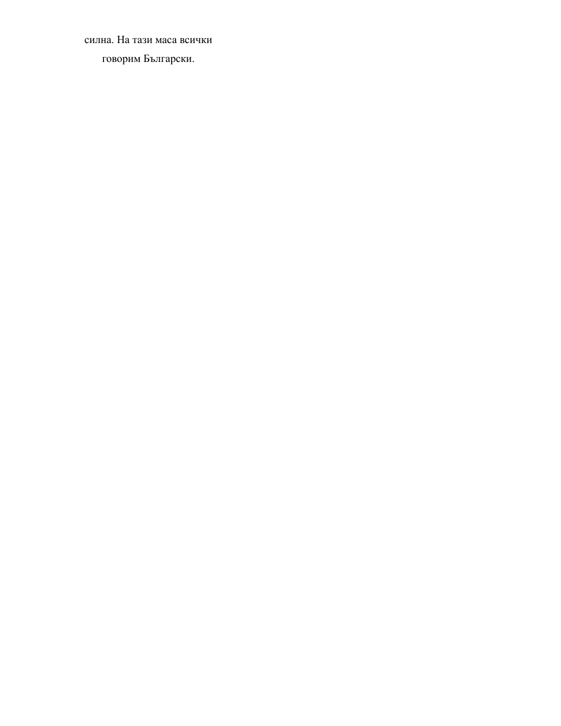силна. На тази маса всички говорим Български.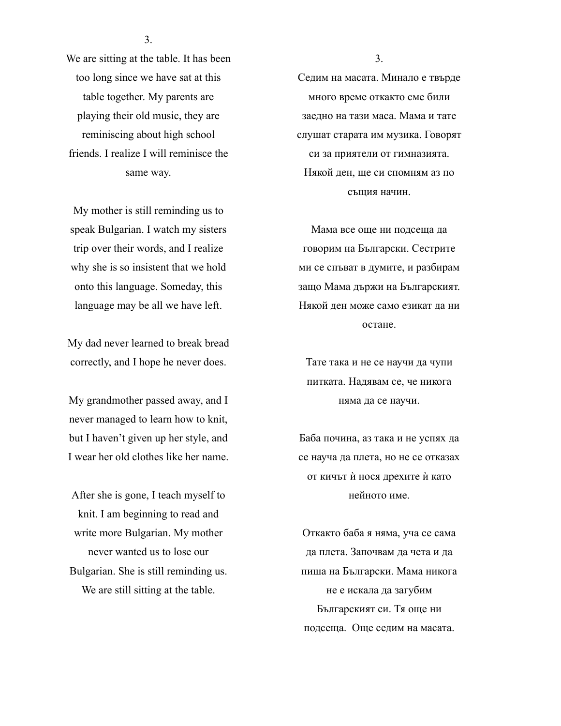3.

We are sitting at the table. It has been too long since we have sat at this table together. My parents are playing their old music, they are reminiscing about high school friends. I realize I will reminisce the same way.

My mother is still reminding us to speak Bulgarian. I watch my sisters trip over their words, and I realize why she is so insistent that we hold onto this language. Someday, this language may be all we have left.

My dad never learned to break bread correctly, and I hope he never does.

My grandmother passed away, and I never managed to learn how to knit, but I haven't given up her style, and I wear her old clothes like her name.

After she is gone, I teach myself to knit. I am beginning to read and write more Bulgarian. My mother never wanted us to lose our Bulgarian. She is still reminding us. We are still sitting at the table.

3.

Седим на масата. Минало е твърде много време откакто сме били заедно на тази маса. Мама и тате слушат старата им музика. Говорят си за приятели от гимназията. Някой ден, ще си спомням аз по същия начин.

Мама все още ни подсеща да говорим на Български. Сестрите ми се спъват в думите, и разбирам защо Мама държи на Българският. Някой ден може само езикат да ни остане.

Тате така и не се научи да чупи питката. Надявам се, че никога няма да се научи.

Баба почина, аз така и не успях да се науча да плета, но не се отказах от кичът ѝ нося дрехите ѝ като нейното име.

Откакто баба я няма, уча се сама да плета. Започвам да чета и да пиша на Български. Мама никога не е искала да загубим Българският си. Тя още ни подсеща. Още седим на масата.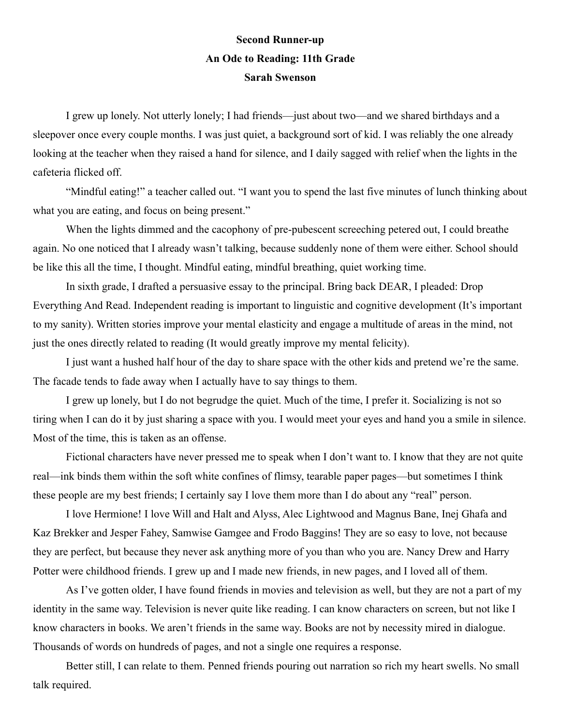## **Second Runner-up An Ode to Reading: 11th Grade Sarah Swenson**

I grew up lonely. Not utterly lonely; I had friends—just about two—and we shared birthdays and a sleepover once every couple months. I was just quiet, a background sort of kid. I was reliably the one already looking at the teacher when they raised a hand for silence, and I daily sagged with relief when the lights in the cafeteria flicked off.

"Mindful eating!" a teacher called out. "I want you to spend the last five minutes of lunch thinking about what you are eating, and focus on being present."

When the lights dimmed and the cacophony of pre-pubescent screeching petered out, I could breathe again. No one noticed that I already wasn't talking, because suddenly none of them were either. School should be like this all the time, I thought. Mindful eating, mindful breathing, quiet working time.

In sixth grade, I drafted a persuasive essay to the principal. Bring back DEAR, I pleaded: Drop Everything And Read. Independent reading is important to linguistic and cognitive development (It's important to my sanity). Written stories improve your mental elasticity and engage a multitude of areas in the mind, not just the ones directly related to reading (It would greatly improve my mental felicity).

I just want a hushed half hour of the day to share space with the other kids and pretend we're the same. The facade tends to fade away when I actually have to say things to them.

I grew up lonely, but I do not begrudge the quiet. Much of the time, I prefer it. Socializing is not so tiring when I can do it by just sharing a space with you. I would meet your eyes and hand you a smile in silence. Most of the time, this is taken as an offense.

Fictional characters have never pressed me to speak when I don't want to. I know that they are not quite real—ink binds them within the soft white confines of flimsy, tearable paper pages—but sometimes I think these people are my best friends; I certainly say I love them more than I do about any "real" person.

I love Hermione! I love Will and Halt and Alyss, Alec Lightwood and Magnus Bane, Inej Ghafa and Kaz Brekker and Jesper Fahey, Samwise Gamgee and Frodo Baggins! They are so easy to love, not because they are perfect, but because they never ask anything more of you than who you are. Nancy Drew and Harry Potter were childhood friends. I grew up and I made new friends, in new pages, and I loved all of them.

As I've gotten older, I have found friends in movies and television as well, but they are not a part of my identity in the same way. Television is never quite like reading. I can know characters on screen, but not like I know characters in books. We aren't friends in the same way. Books are not by necessity mired in dialogue. Thousands of words on hundreds of pages, and not a single one requires a response.

Better still, I can relate to them. Penned friends pouring out narration so rich my heart swells. No small talk required.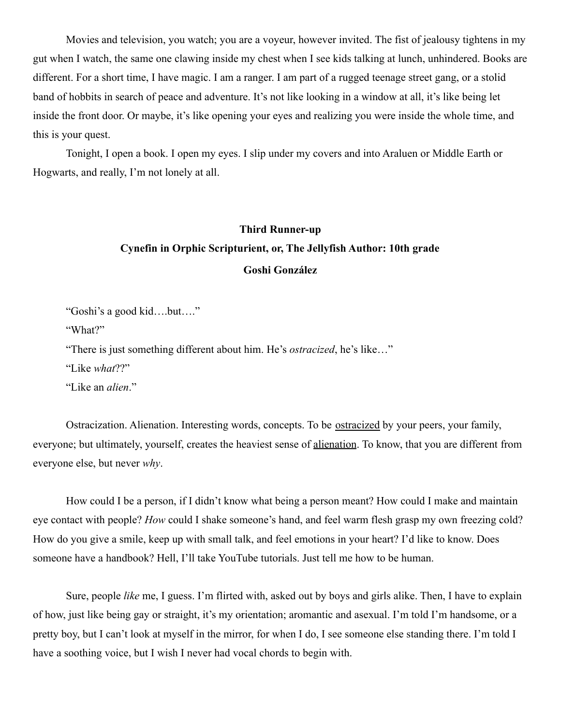Movies and television, you watch; you are a voyeur, however invited. The fist of jealousy tightens in my gut when I watch, the same one clawing inside my chest when I see kids talking at lunch, unhindered. Books are different. For a short time, I have magic. I am a ranger. I am part of a rugged teenage street gang, or a stolid band of hobbits in search of peace and adventure. It's not like looking in a window at all, it's like being let inside the front door. Or maybe, it's like opening your eyes and realizing you were inside the whole time, and this is your quest.

Tonight, I open a book. I open my eyes. I slip under my covers and into Araluen or Middle Earth or Hogwarts, and really, I'm not lonely at all.

# **Third Runner-up Cynefin in Orphic Scripturient, or, The Jellyfish Author: 10th grade Goshi González**

"Goshi's a good kid….but…."

"What?"

"There is just something different about him. He's *ostracized*, he's like…"

"Like *what*??"

"Like an *alien*."

Ostracization. Alienation. Interesting words, concepts. To be ostracized by your peers, your family, everyone; but ultimately, yourself, creates the heaviest sense of alienation. To know, that you are different from everyone else, but never *why*.

How could I be a person, if I didn't know what being a person meant? How could I make and maintain eye contact with people? *How* could I shake someone's hand, and feel warm flesh grasp my own freezing cold? How do you give a smile, keep up with small talk, and feel emotions in your heart? I'd like to know. Does someone have a handbook? Hell, I'll take YouTube tutorials. Just tell me how to be human.

Sure, people *like* me, I guess. I'm flirted with, asked out by boys and girls alike. Then, I have to explain of how, just like being gay or straight, it's my orientation; aromantic and asexual. I'm told I'm handsome, or a pretty boy, but I can't look at myself in the mirror, for when I do, I see someone else standing there. I'm told I have a soothing voice, but I wish I never had vocal chords to begin with.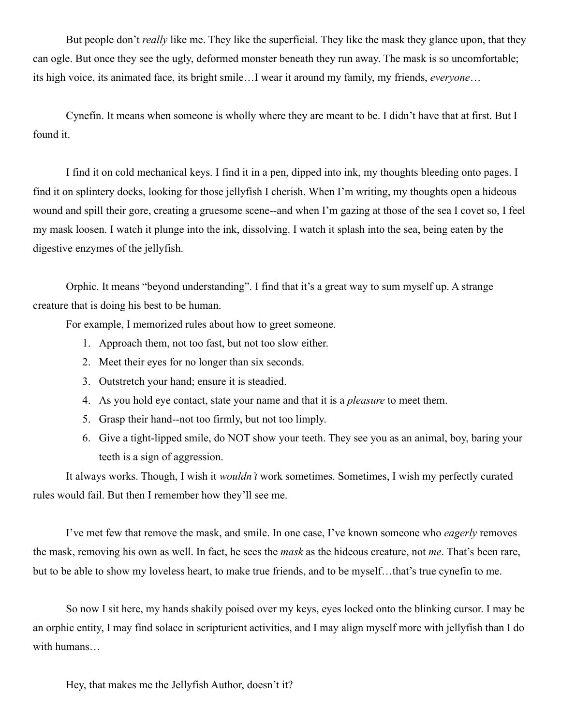But people don't *really* like me. They like the superficial. They like the mask they glance upon, that they can ogle. But once they see the ugly, deformed monster beneath they run away. The mask is so uncomfortable; its high voice, its animated face, its bright smile…I wear it around my family, my friends, *everyone*…

Cynefin. It means when someone is wholly where they are meant to be. I didn't have that at first. But I found it.

I find it on cold mechanical keys. I find it in a pen, dipped into ink, my thoughts bleeding onto pages. I find it on splintery docks, looking for those jellyfish I cherish. When I'm writing, my thoughts open a hideous wound and spill their gore, creating a gruesome scene--and when I'm gazing at those of the sea I covet so, I feel my mask loosen. I watch it plunge into the ink, dissolving. I watch it splash into the sea, being eaten by the digestive enzymes of the jellyfish.

Orphic. It means "beyond understanding". I find that it's a great way to sum myself up. A strange creature that is doing his best to be human.

For example, I memorized rules about how to greet someone.

- 1. Approach them, not too fast, but not too slow either.
- 2. Meet their eyes for no longer than six seconds.
- 3. Outstretch your hand; ensure it is steadied.
- 4. As you hold eye contact, state your name and that it is a *pleasure* to meet them.
- 5. Grasp their hand--not too firmly, but not too limply.
- 6. Give a tight-lipped smile, do NOT show your teeth. They see you as an animal, boy, baring your teeth is a sign of aggression.

It always works. Though, I wish it *wouldn't* work sometimes. Sometimes, I wish my perfectly curated rules would fail. But then I remember how they'll see me.

I've met few that remove the mask, and smile. In one case, I've known someone who *eagerly* removes the mask, removing his own as well. In fact, he sees the *mask* as the hideous creature, not *me*. That's been rare, but to be able to show my loveless heart, to make true friends, and to be myself…that's true cynefin to me.

So now I sit here, my hands shakily poised over my keys, eyes locked onto the blinking cursor. I may be an orphic entity, I may find solace in scripturient activities, and I may align myself more with jellyfish than I do with humans…

Hey, that makes me the Jellyfish Author, doesn't it?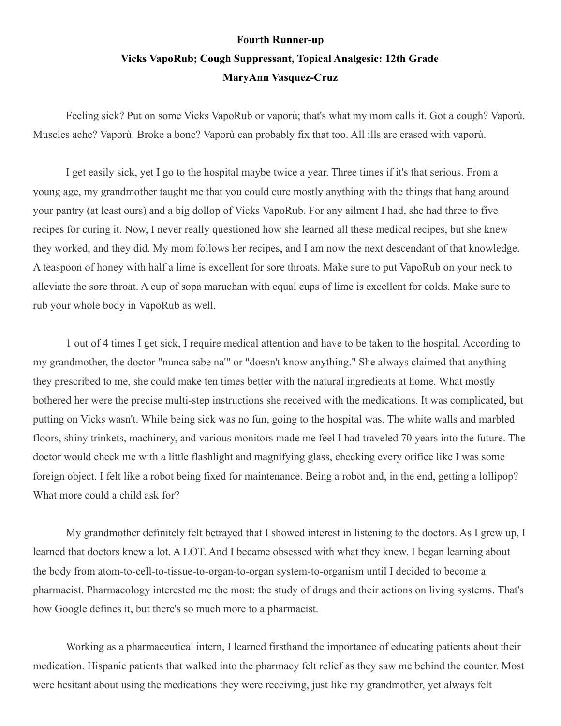## **Fourth Runner-up Vicks VapoRub; Cough Suppressant, Topical Analgesic: 12th Grade MaryAnn Vasquez-Cruz**

Feeling sick? Put on some Vicks VapoRub or vaporù; that's what my mom calls it. Got a cough? Vaporù. Muscles ache? Vaporù. Broke a bone? Vaporù can probably fix that too. All ills are erased with vaporù.

I get easily sick, yet I go to the hospital maybe twice a year. Three times if it's that serious. From a young age, my grandmother taught me that you could cure mostly anything with the things that hang around your pantry (at least ours) and a big dollop of Vicks VapoRub. For any ailment I had, she had three to five recipes for curing it. Now, I never really questioned how she learned all these medical recipes, but she knew they worked, and they did. My mom follows her recipes, and I am now the next descendant of that knowledge. A teaspoon of honey with half a lime is excellent for sore throats. Make sure to put VapoRub on your neck to alleviate the sore throat. A cup of sopa maruchan with equal cups of lime is excellent for colds. Make sure to rub your whole body in VapoRub as well.

1 out of 4 times I get sick, I require medical attention and have to be taken to the hospital. According to my grandmother, the doctor "nunca sabe na'" or "doesn't know anything." She always claimed that anything they prescribed to me, she could make ten times better with the natural ingredients at home. What mostly bothered her were the precise multi-step instructions she received with the medications. It was complicated, but putting on Vicks wasn't. While being sick was no fun, going to the hospital was. The white walls and marbled floors, shiny trinkets, machinery, and various monitors made me feel I had traveled 70 years into the future. The doctor would check me with a little flashlight and magnifying glass, checking every orifice like I was some foreign object. I felt like a robot being fixed for maintenance. Being a robot and, in the end, getting a lollipop? What more could a child ask for?

My grandmother definitely felt betrayed that I showed interest in listening to the doctors. As I grew up, I learned that doctors knew a lot. A LOT. And I became obsessed with what they knew. I began learning about the body from atom-to-cell-to-tissue-to-organ-to-organ system-to-organism until I decided to become a pharmacist. Pharmacology interested me the most: the study of drugs and their actions on living systems. That's how Google defines it, but there's so much more to a pharmacist.

Working as a pharmaceutical intern, I learned firsthand the importance of educating patients about their medication. Hispanic patients that walked into the pharmacy felt relief as they saw me behind the counter. Most were hesitant about using the medications they were receiving, just like my grandmother, yet always felt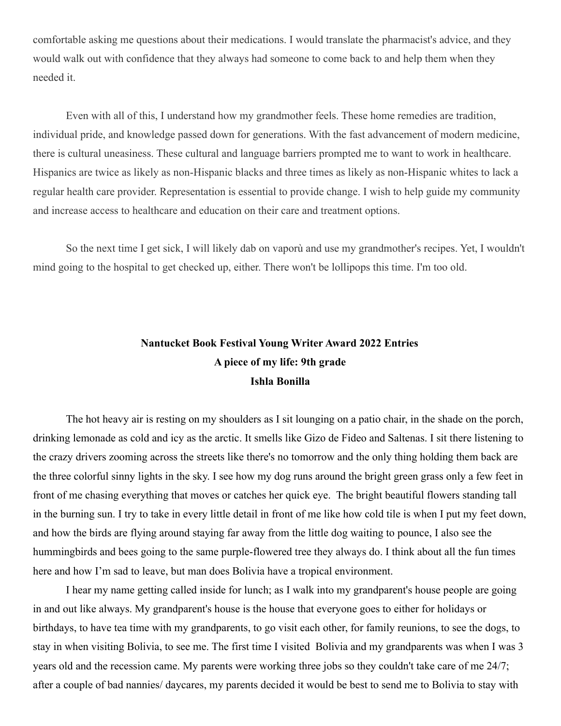comfortable asking me questions about their medications. I would translate the pharmacist's advice, and they would walk out with confidence that they always had someone to come back to and help them when they needed it.

Even with all of this, I understand how my grandmother feels. These home remedies are tradition, individual pride, and knowledge passed down for generations. With the fast advancement of modern medicine, there is cultural uneasiness. These cultural and language barriers prompted me to want to work in healthcare. Hispanics are twice as likely as non-Hispanic blacks and three times as likely as non-Hispanic whites to lack a regular health care provider. Representation is essential to provide change. I wish to help guide my community and increase access to healthcare and education on their care and treatment options.

So the next time I get sick, I will likely dab on vaporù and use my grandmother's recipes. Yet, I wouldn't mind going to the hospital to get checked up, either. There won't be lollipops this time. I'm too old.

## **Nantucket Book Festival Young Writer Award 2022 Entries A piece of my life: 9th grade Ishla Bonilla**

The hot heavy air is resting on my shoulders as I sit lounging on a patio chair, in the shade on the porch, drinking lemonade as cold and icy as the arctic. It smells like Gizo de Fideo and Saltenas. I sit there listening to the crazy drivers zooming across the streets like there's no tomorrow and the only thing holding them back are the three colorful sinny lights in the sky. I see how my dog runs around the bright green grass only a few feet in front of me chasing everything that moves or catches her quick eye. The bright beautiful flowers standing tall in the burning sun. I try to take in every little detail in front of me like how cold tile is when I put my feet down, and how the birds are flying around staying far away from the little dog waiting to pounce, I also see the hummingbirds and bees going to the same purple-flowered tree they always do. I think about all the fun times here and how I'm sad to leave, but man does Bolivia have a tropical environment.

I hear my name getting called inside for lunch; as I walk into my grandparent's house people are going in and out like always. My grandparent's house is the house that everyone goes to either for holidays or birthdays, to have tea time with my grandparents, to go visit each other, for family reunions, to see the dogs, to stay in when visiting Bolivia, to see me. The first time I visited Bolivia and my grandparents was when I was 3 years old and the recession came. My parents were working three jobs so they couldn't take care of me 24/7; after a couple of bad nannies/ daycares, my parents decided it would be best to send me to Bolivia to stay with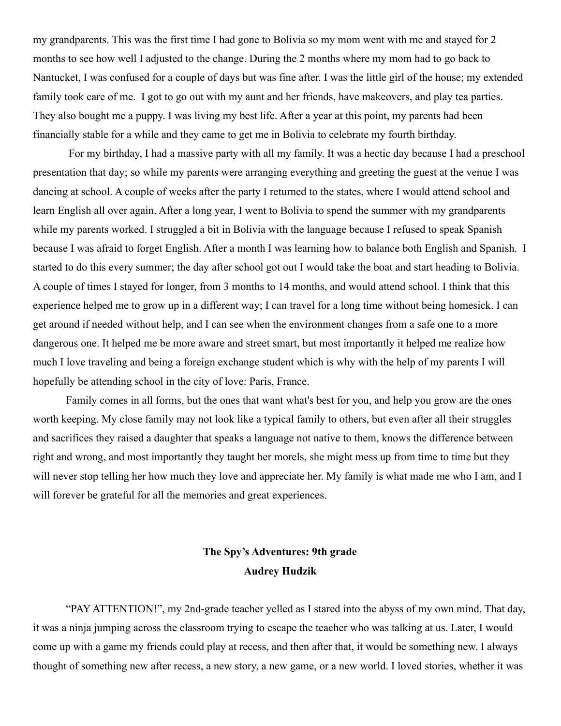my grandparents. This was the first time I had gone to Bolivia so my mom went with me and stayed for 2 months to see how well I adjusted to the change. During the 2 months where my mom had to go back to Nantucket, I was confused for a couple of days but was fine after. I was the little girl of the house; my extended family took care of me. I got to go out with my aunt and her friends, have makeovers, and play tea parties. They also bought me a puppy. I was living my best life. After a year at this point, my parents had been financially stable for a while and they came to get me in Bolivia to celebrate my fourth birthday.

For my birthday, I had a massive party with all my family. It was a hectic day because I had a preschool presentation that day; so while my parents were arranging everything and greeting the guest at the venue I was dancing at school. A couple of weeks after the party I returned to the states, where I would attend school and learn English all over again. After a long year, I went to Bolivia to spend the summer with my grandparents while my parents worked. I struggled a bit in Bolivia with the language because I refused to speak Spanish because I was afraid to forget English. After a month I was learning how to balance both English and Spanish. I started to do this every summer; the day after school got out I would take the boat and start heading to Bolivia. A couple of times I stayed for longer, from 3 months to 14 months, and would attend school. I think that this experience helped me to grow up in a different way; I can travel for a long time without being homesick. I can get around if needed without help, and I can see when the environment changes from a safe one to a more dangerous one. It helped me be more aware and street smart, but most importantly it helped me realize how much I love traveling and being a foreign exchange student which is why with the help of my parents I will hopefully be attending school in the city of love: Paris, France.

Family comes in all forms, but the ones that want what's best for you, and help you grow are the ones worth keeping. My close family may not look like a typical family to others, but even after all their struggles and sacrifices they raised a daughter that speaks a language not native to them, knows the difference between right and wrong, and most importantly they taught her morels, she might mess up from time to time but they will never stop telling her how much they love and appreciate her. My family is what made me who I am, and I will forever be grateful for all the memories and great experiences.

## **The Spy's Adventures: 9th grade Audrey Hudzik**

"PAY ATTENTION!", my 2nd-grade teacher yelled as I stared into the abyss of my own mind. That day, it was a ninja jumping across the classroom trying to escape the teacher who was talking at us. Later, I would come up with a game my friends could play at recess, and then after that, it would be something new. I always thought of something new after recess, a new story, a new game, or a new world. I loved stories, whether it was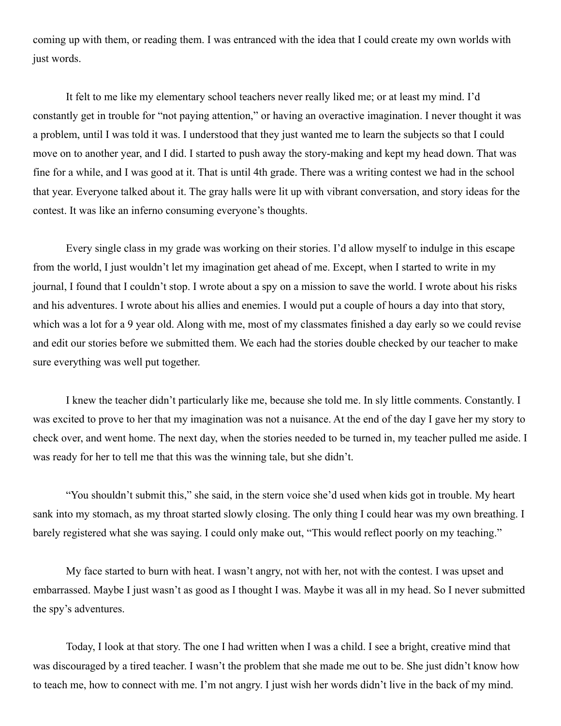coming up with them, or reading them. I was entranced with the idea that I could create my own worlds with just words.

It felt to me like my elementary school teachers never really liked me; or at least my mind. I'd constantly get in trouble for "not paying attention," or having an overactive imagination. I never thought it was a problem, until I was told it was. I understood that they just wanted me to learn the subjects so that I could move on to another year, and I did. I started to push away the story-making and kept my head down. That was fine for a while, and I was good at it. That is until 4th grade. There was a writing contest we had in the school that year. Everyone talked about it. The gray halls were lit up with vibrant conversation, and story ideas for the contest. It was like an inferno consuming everyone's thoughts.

Every single class in my grade was working on their stories. I'd allow myself to indulge in this escape from the world, I just wouldn't let my imagination get ahead of me. Except, when I started to write in my journal, I found that I couldn't stop. I wrote about a spy on a mission to save the world. I wrote about his risks and his adventures. I wrote about his allies and enemies. I would put a couple of hours a day into that story, which was a lot for a 9 year old. Along with me, most of my classmates finished a day early so we could revise and edit our stories before we submitted them. We each had the stories double checked by our teacher to make sure everything was well put together.

I knew the teacher didn't particularly like me, because she told me. In sly little comments. Constantly. I was excited to prove to her that my imagination was not a nuisance. At the end of the day I gave her my story to check over, and went home. The next day, when the stories needed to be turned in, my teacher pulled me aside. I was ready for her to tell me that this was the winning tale, but she didn't.

"You shouldn't submit this," she said, in the stern voice she'd used when kids got in trouble. My heart sank into my stomach, as my throat started slowly closing. The only thing I could hear was my own breathing. I barely registered what she was saying. I could only make out, "This would reflect poorly on my teaching."

My face started to burn with heat. I wasn't angry, not with her, not with the contest. I was upset and embarrassed. Maybe I just wasn't as good as I thought I was. Maybe it was all in my head. So I never submitted the spy's adventures.

Today, I look at that story. The one I had written when I was a child. I see a bright, creative mind that was discouraged by a tired teacher. I wasn't the problem that she made me out to be. She just didn't know how to teach me, how to connect with me. I'm not angry. I just wish her words didn't live in the back of my mind.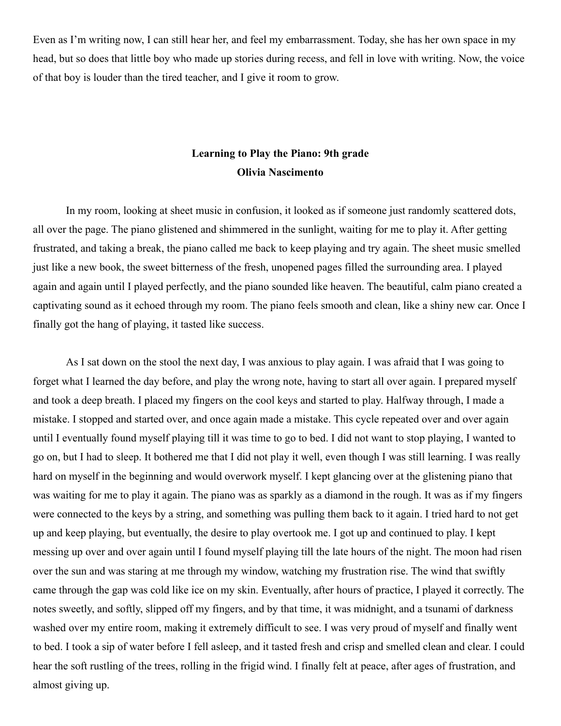Even as I'm writing now, I can still hear her, and feel my embarrassment. Today, she has her own space in my head, but so does that little boy who made up stories during recess, and fell in love with writing. Now, the voice of that boy is louder than the tired teacher, and I give it room to grow.

### **Learning to Play the Piano: 9th grade Olivia Nascimento**

In my room, looking at sheet music in confusion, it looked as if someone just randomly scattered dots, all over the page. The piano glistened and shimmered in the sunlight, waiting for me to play it. After getting frustrated, and taking a break, the piano called me back to keep playing and try again. The sheet music smelled just like a new book, the sweet bitterness of the fresh, unopened pages filled the surrounding area. I played again and again until I played perfectly, and the piano sounded like heaven. The beautiful, calm piano created a captivating sound as it echoed through my room. The piano feels smooth and clean, like a shiny new car. Once I finally got the hang of playing, it tasted like success.

As I sat down on the stool the next day, I was anxious to play again. I was afraid that I was going to forget what I learned the day before, and play the wrong note, having to start all over again. I prepared myself and took a deep breath. I placed my fingers on the cool keys and started to play. Halfway through, I made a mistake. I stopped and started over, and once again made a mistake. This cycle repeated over and over again until I eventually found myself playing till it was time to go to bed. I did not want to stop playing, I wanted to go on, but I had to sleep. It bothered me that I did not play it well, even though I was still learning. I was really hard on myself in the beginning and would overwork myself. I kept glancing over at the glistening piano that was waiting for me to play it again. The piano was as sparkly as a diamond in the rough. It was as if my fingers were connected to the keys by a string, and something was pulling them back to it again. I tried hard to not get up and keep playing, but eventually, the desire to play overtook me. I got up and continued to play. I kept messing up over and over again until I found myself playing till the late hours of the night. The moon had risen over the sun and was staring at me through my window, watching my frustration rise. The wind that swiftly came through the gap was cold like ice on my skin. Eventually, after hours of practice, I played it correctly. The notes sweetly, and softly, slipped off my fingers, and by that time, it was midnight, and a tsunami of darkness washed over my entire room, making it extremely difficult to see. I was very proud of myself and finally went to bed. I took a sip of water before I fell asleep, and it tasted fresh and crisp and smelled clean and clear. I could hear the soft rustling of the trees, rolling in the frigid wind. I finally felt at peace, after ages of frustration, and almost giving up.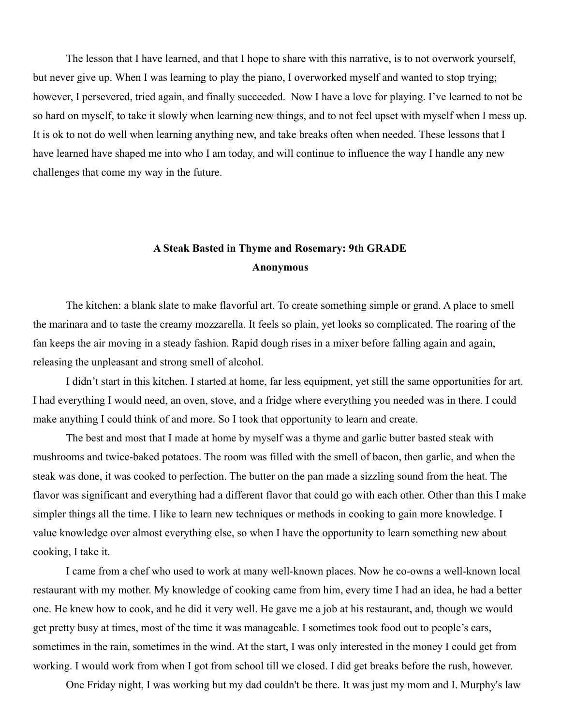The lesson that I have learned, and that I hope to share with this narrative, is to not overwork yourself, but never give up. When I was learning to play the piano, I overworked myself and wanted to stop trying; however, I persevered, tried again, and finally succeeded. Now I have a love for playing. I've learned to not be so hard on myself, to take it slowly when learning new things, and to not feel upset with myself when I mess up. It is ok to not do well when learning anything new, and take breaks often when needed. These lessons that I have learned have shaped me into who I am today, and will continue to influence the way I handle any new challenges that come my way in the future.

### **A Steak Basted in Thyme and Rosemary: 9th GRADE Anonymous**

The kitchen: a blank slate to make flavorful art. To create something simple or grand. A place to smell the marinara and to taste the creamy mozzarella. It feels so plain, yet looks so complicated. The roaring of the fan keeps the air moving in a steady fashion. Rapid dough rises in a mixer before falling again and again, releasing the unpleasant and strong smell of alcohol.

I didn't start in this kitchen. I started at home, far less equipment, yet still the same opportunities for art. I had everything I would need, an oven, stove, and a fridge where everything you needed was in there. I could make anything I could think of and more. So I took that opportunity to learn and create.

The best and most that I made at home by myself was a thyme and garlic butter basted steak with mushrooms and twice-baked potatoes. The room was filled with the smell of bacon, then garlic, and when the steak was done, it was cooked to perfection. The butter on the pan made a sizzling sound from the heat. The flavor was significant and everything had a different flavor that could go with each other. Other than this I make simpler things all the time. I like to learn new techniques or methods in cooking to gain more knowledge. I value knowledge over almost everything else, so when I have the opportunity to learn something new about cooking, I take it.

I came from a chef who used to work at many well-known places. Now he co-owns a well-known local restaurant with my mother. My knowledge of cooking came from him, every time I had an idea, he had a better one. He knew how to cook, and he did it very well. He gave me a job at his restaurant, and, though we would get pretty busy at times, most of the time it was manageable. I sometimes took food out to people's cars, sometimes in the rain, sometimes in the wind. At the start, I was only interested in the money I could get from working. I would work from when I got from school till we closed. I did get breaks before the rush, however.

One Friday night, I was working but my dad couldn't be there. It was just my mom and I. Murphy's law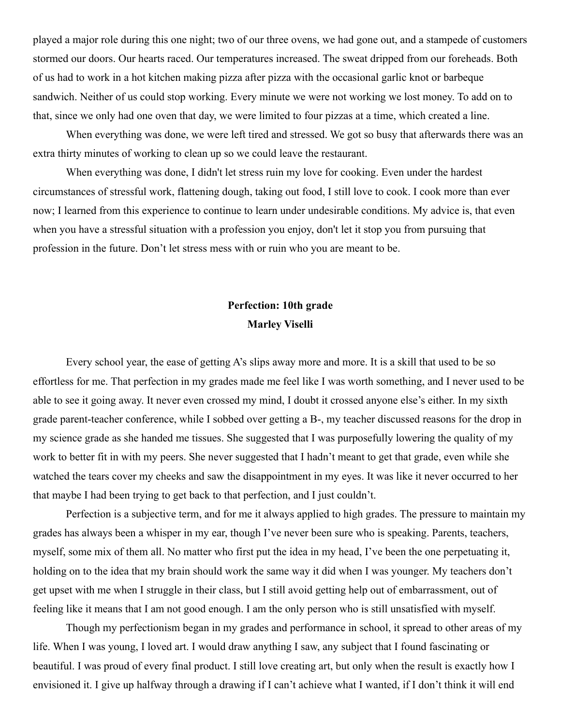played a major role during this one night; two of our three ovens, we had gone out, and a stampede of customers stormed our doors. Our hearts raced. Our temperatures increased. The sweat dripped from our foreheads. Both of us had to work in a hot kitchen making pizza after pizza with the occasional garlic knot or barbeque sandwich. Neither of us could stop working. Every minute we were not working we lost money. To add on to that, since we only had one oven that day, we were limited to four pizzas at a time, which created a line.

When everything was done, we were left tired and stressed. We got so busy that afterwards there was an extra thirty minutes of working to clean up so we could leave the restaurant.

When everything was done, I didn't let stress ruin my love for cooking. Even under the hardest circumstances of stressful work, flattening dough, taking out food, I still love to cook. I cook more than ever now; I learned from this experience to continue to learn under undesirable conditions. My advice is, that even when you have a stressful situation with a profession you enjoy, don't let it stop you from pursuing that profession in the future. Don't let stress mess with or ruin who you are meant to be.

## **Perfection: 10th grade Marley Viselli**

Every school year, the ease of getting A's slips away more and more. It is a skill that used to be so effortless for me. That perfection in my grades made me feel like I was worth something, and I never used to be able to see it going away. It never even crossed my mind, I doubt it crossed anyone else's either. In my sixth grade parent-teacher conference, while I sobbed over getting a B-, my teacher discussed reasons for the drop in my science grade as she handed me tissues. She suggested that I was purposefully lowering the quality of my work to better fit in with my peers. She never suggested that I hadn't meant to get that grade, even while she watched the tears cover my cheeks and saw the disappointment in my eyes. It was like it never occurred to her that maybe I had been trying to get back to that perfection, and I just couldn't.

Perfection is a subjective term, and for me it always applied to high grades. The pressure to maintain my grades has always been a whisper in my ear, though I've never been sure who is speaking. Parents, teachers, myself, some mix of them all. No matter who first put the idea in my head, I've been the one perpetuating it, holding on to the idea that my brain should work the same way it did when I was younger. My teachers don't get upset with me when I struggle in their class, but I still avoid getting help out of embarrassment, out of feeling like it means that I am not good enough. I am the only person who is still unsatisfied with myself.

Though my perfectionism began in my grades and performance in school, it spread to other areas of my life. When I was young, I loved art. I would draw anything I saw, any subject that I found fascinating or beautiful. I was proud of every final product. I still love creating art, but only when the result is exactly how I envisioned it. I give up halfway through a drawing if I can't achieve what I wanted, if I don't think it will end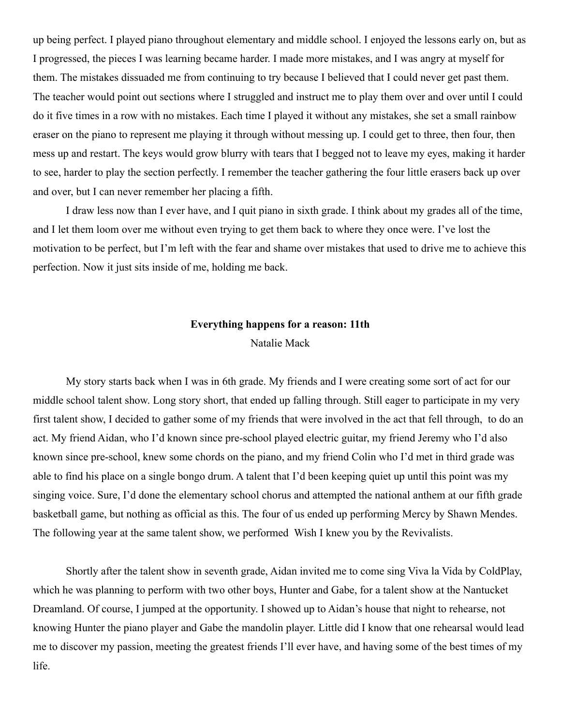up being perfect. I played piano throughout elementary and middle school. I enjoyed the lessons early on, but as I progressed, the pieces I was learning became harder. I made more mistakes, and I was angry at myself for them. The mistakes dissuaded me from continuing to try because I believed that I could never get past them. The teacher would point out sections where I struggled and instruct me to play them over and over until I could do it five times in a row with no mistakes. Each time I played it without any mistakes, she set a small rainbow eraser on the piano to represent me playing it through without messing up. I could get to three, then four, then mess up and restart. The keys would grow blurry with tears that I begged not to leave my eyes, making it harder to see, harder to play the section perfectly. I remember the teacher gathering the four little erasers back up over and over, but I can never remember her placing a fifth.

I draw less now than I ever have, and I quit piano in sixth grade. I think about my grades all of the time, and I let them loom over me without even trying to get them back to where they once were. I've lost the motivation to be perfect, but I'm left with the fear and shame over mistakes that used to drive me to achieve this perfection. Now it just sits inside of me, holding me back.

#### **Everything happens for a reason: 11th**

#### Natalie Mack

My story starts back when I was in 6th grade. My friends and I were creating some sort of act for our middle school talent show. Long story short, that ended up falling through. Still eager to participate in my very first talent show, I decided to gather some of my friends that were involved in the act that fell through, to do an act. My friend Aidan, who I'd known since pre-school played electric guitar, my friend Jeremy who I'd also known since pre-school, knew some chords on the piano, and my friend Colin who I'd met in third grade was able to find his place on a single bongo drum. A talent that I'd been keeping quiet up until this point was my singing voice. Sure, I'd done the elementary school chorus and attempted the national anthem at our fifth grade basketball game, but nothing as official as this. The four of us ended up performing Mercy by Shawn Mendes. The following year at the same talent show, we performed Wish I knew you by the Revivalists.

Shortly after the talent show in seventh grade, Aidan invited me to come sing Viva la Vida by ColdPlay, which he was planning to perform with two other boys, Hunter and Gabe, for a talent show at the Nantucket Dreamland. Of course, I jumped at the opportunity. I showed up to Aidan's house that night to rehearse, not knowing Hunter the piano player and Gabe the mandolin player. Little did I know that one rehearsal would lead me to discover my passion, meeting the greatest friends I'll ever have, and having some of the best times of my life.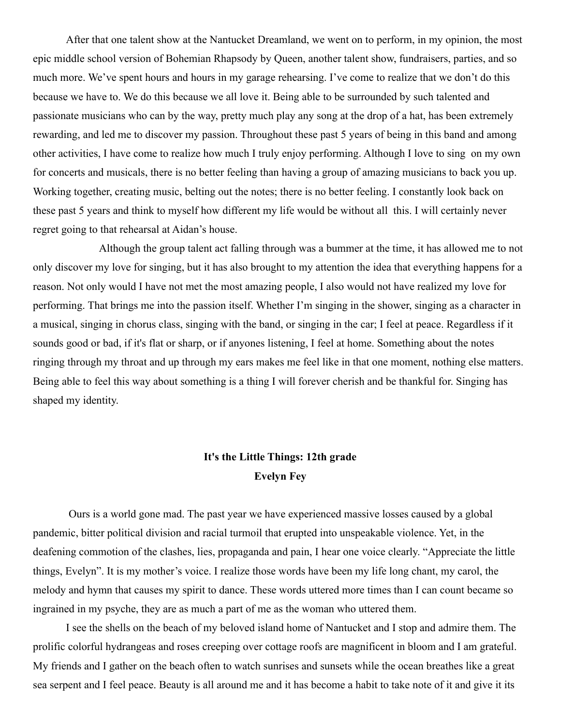After that one talent show at the Nantucket Dreamland, we went on to perform, in my opinion, the most epic middle school version of Bohemian Rhapsody by Queen, another talent show, fundraisers, parties, and so much more. We've spent hours and hours in my garage rehearsing. I've come to realize that we don't do this because we have to. We do this because we all love it. Being able to be surrounded by such talented and passionate musicians who can by the way, pretty much play any song at the drop of a hat, has been extremely rewarding, and led me to discover my passion. Throughout these past 5 years of being in this band and among other activities, I have come to realize how much I truly enjoy performing. Although I love to sing on my own for concerts and musicals, there is no better feeling than having a group of amazing musicians to back you up. Working together, creating music, belting out the notes; there is no better feeling. I constantly look back on these past 5 years and think to myself how different my life would be without all this. I will certainly never regret going to that rehearsal at Aidan's house.

Although the group talent act falling through was a bummer at the time, it has allowed me to not only discover my love for singing, but it has also brought to my attention the idea that everything happens for a reason. Not only would I have not met the most amazing people, I also would not have realized my love for performing. That brings me into the passion itself. Whether I'm singing in the shower, singing as a character in a musical, singing in chorus class, singing with the band, or singing in the car; I feel at peace. Regardless if it sounds good or bad, if it's flat or sharp, or if anyones listening, I feel at home. Something about the notes ringing through my throat and up through my ears makes me feel like in that one moment, nothing else matters. Being able to feel this way about something is a thing I will forever cherish and be thankful for. Singing has shaped my identity.

### **It's the Little Things: 12th grade Evelyn Fey**

Ours is a world gone mad. The past year we have experienced massive losses caused by a global pandemic, bitter political division and racial turmoil that erupted into unspeakable violence. Yet, in the deafening commotion of the clashes, lies, propaganda and pain, I hear one voice clearly. "Appreciate the little things, Evelyn". It is my mother's voice. I realize those words have been my life long chant, my carol, the melody and hymn that causes my spirit to dance. These words uttered more times than I can count became so ingrained in my psyche, they are as much a part of me as the woman who uttered them.

I see the shells on the beach of my beloved island home of Nantucket and I stop and admire them. The prolific colorful hydrangeas and roses creeping over cottage roofs are magnificent in bloom and I am grateful. My friends and I gather on the beach often to watch sunrises and sunsets while the ocean breathes like a great sea serpent and I feel peace. Beauty is all around me and it has become a habit to take note of it and give it its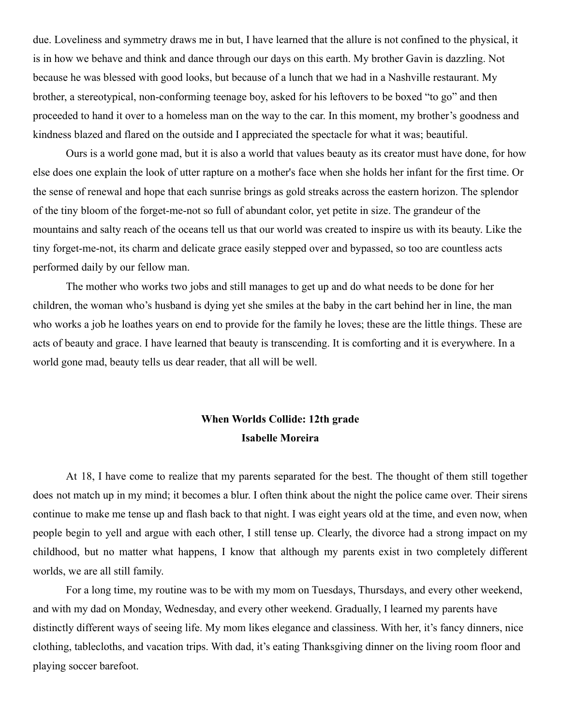due. Loveliness and symmetry draws me in but, I have learned that the allure is not confined to the physical, it is in how we behave and think and dance through our days on this earth. My brother Gavin is dazzling. Not because he was blessed with good looks, but because of a lunch that we had in a Nashville restaurant. My brother, a stereotypical, non-conforming teenage boy, asked for his leftovers to be boxed "to go" and then proceeded to hand it over to a homeless man on the way to the car. In this moment, my brother's goodness and kindness blazed and flared on the outside and I appreciated the spectacle for what it was; beautiful.

Ours is a world gone mad, but it is also a world that values beauty as its creator must have done, for how else does one explain the look of utter rapture on a mother's face when she holds her infant for the first time. Or the sense of renewal and hope that each sunrise brings as gold streaks across the eastern horizon. The splendor of the tiny bloom of the forget-me-not so full of abundant color, yet petite in size. The grandeur of the mountains and salty reach of the oceans tell us that our world was created to inspire us with its beauty. Like the tiny forget-me-not, its charm and delicate grace easily stepped over and bypassed, so too are countless acts performed daily by our fellow man.

The mother who works two jobs and still manages to get up and do what needs to be done for her children, the woman who's husband is dying yet she smiles at the baby in the cart behind her in line, the man who works a job he loathes years on end to provide for the family he loves; these are the little things. These are acts of beauty and grace. I have learned that beauty is transcending. It is comforting and it is everywhere. In a world gone mad, beauty tells us dear reader, that all will be well.

### **When Worlds Collide: 12th grade Isabelle Moreira**

At 18, I have come to realize that my parents separated for the best. The thought of them still together does not match up in my mind; it becomes a blur. I often think about the night the police came over. Their sirens continue to make me tense up and flash back to that night. I was eight years old at the time, and even now, when people begin to yell and argue with each other, I still tense up. Clearly, the divorce had a strong impact on my childhood, but no matter what happens, I know that although my parents exist in two completely different worlds, we are all still family.

For a long time, my routine was to be with my mom on Tuesdays, Thursdays, and every other weekend, and with my dad on Monday, Wednesday, and every other weekend. Gradually, I learned my parents have distinctly different ways of seeing life. My mom likes elegance and classiness. With her, it's fancy dinners, nice clothing, tablecloths, and vacation trips. With dad, it's eating Thanksgiving dinner on the living room floor and playing soccer barefoot.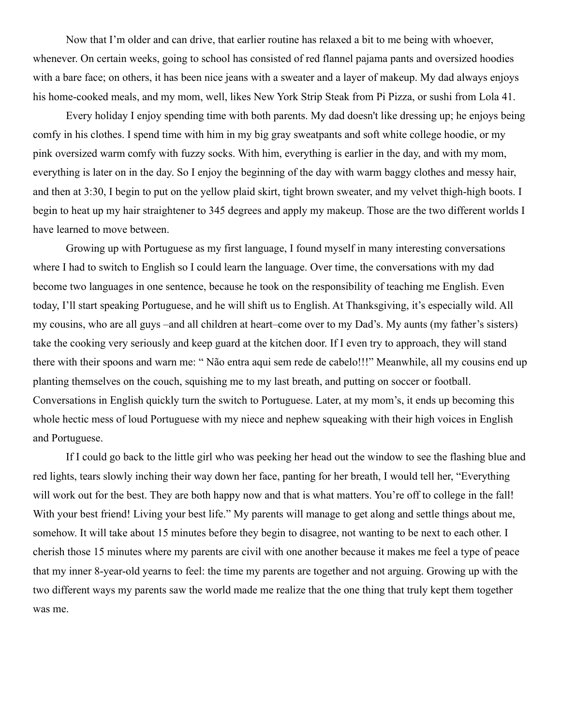Now that I'm older and can drive, that earlier routine has relaxed a bit to me being with whoever, whenever. On certain weeks, going to school has consisted of red flannel pajama pants and oversized hoodies with a bare face; on others, it has been nice jeans with a sweater and a layer of makeup. My dad always enjoys his home-cooked meals, and my mom, well, likes New York Strip Steak from Pi Pizza, or sushi from Lola 41.

Every holiday I enjoy spending time with both parents. My dad doesn't like dressing up; he enjoys being comfy in his clothes. I spend time with him in my big gray sweatpants and soft white college hoodie, or my pink oversized warm comfy with fuzzy socks. With him, everything is earlier in the day, and with my mom, everything is later on in the day. So I enjoy the beginning of the day with warm baggy clothes and messy hair, and then at 3:30, I begin to put on the yellow plaid skirt, tight brown sweater, and my velvet thigh-high boots. I begin to heat up my hair straightener to 345 degrees and apply my makeup. Those are the two different worlds I have learned to move between.

Growing up with Portuguese as my first language, I found myself in many interesting conversations where I had to switch to English so I could learn the language. Over time, the conversations with my dad become two languages in one sentence, because he took on the responsibility of teaching me English. Even today, I'll start speaking Portuguese, and he will shift us to English. At Thanksgiving, it's especially wild. All my cousins, who are all guys –and all children at heart–come over to my Dad's. My aunts (my father's sisters) take the cooking very seriously and keep guard at the kitchen door. If I even try to approach, they will stand there with their spoons and warn me: " Não entra aqui sem rede de cabelo!!!" Meanwhile, all my cousins end up planting themselves on the couch, squishing me to my last breath, and putting on soccer or football. Conversations in English quickly turn the switch to Portuguese. Later, at my mom's, it ends up becoming this whole hectic mess of loud Portuguese with my niece and nephew squeaking with their high voices in English and Portuguese.

If I could go back to the little girl who was peeking her head out the window to see the flashing blue and red lights, tears slowly inching their way down her face, panting for her breath, I would tell her, "Everything will work out for the best. They are both happy now and that is what matters. You're off to college in the fall! With your best friend! Living your best life." My parents will manage to get along and settle things about me, somehow. It will take about 15 minutes before they begin to disagree, not wanting to be next to each other. I cherish those 15 minutes where my parents are civil with one another because it makes me feel a type of peace that my inner 8-year-old yearns to feel: the time my parents are together and not arguing. Growing up with the two different ways my parents saw the world made me realize that the one thing that truly kept them together was me.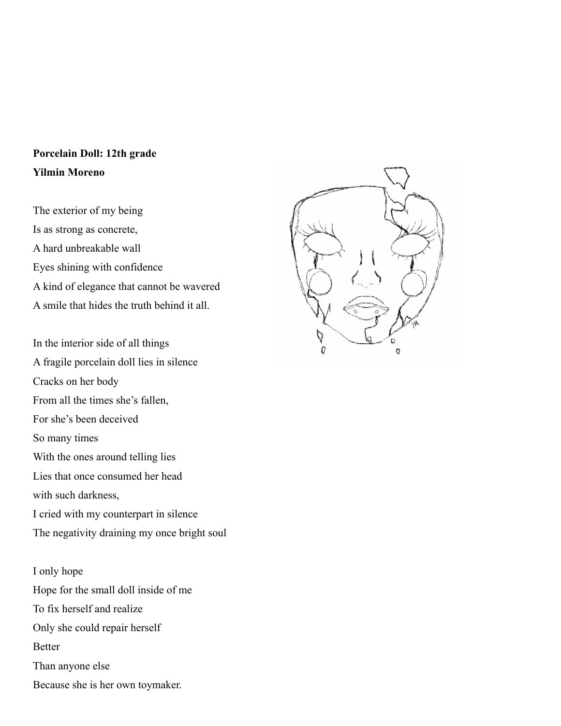## **Porcelain Doll: 12th grade Yilmin Moreno**

The exterior of my being Is as strong as concrete, A hard unbreakable wall Eyes shining with confidence A kind of elegance that cannot be wavered A smile that hides the truth behind it all.

In the interior side of all things A fragile porcelain doll lies in silence Cracks on her body From all the times she's fallen, For she's been deceived So many times With the ones around telling lies Lies that once consumed her head with such darkness, I cried with my counterpart in silence The negativity draining my once bright soul

I only hope Hope for the small doll inside of me To fix herself and realize Only she could repair herself Better Than anyone else Because she is her own toymaker.

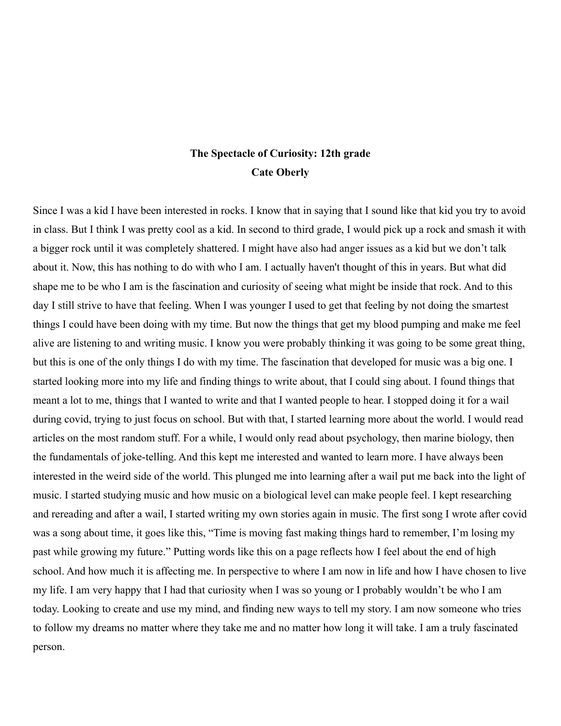### **The Spectacle of Curiosity: 12th grade Cate Oberly**

Since I was a kid I have been interested in rocks. I know that in saying that I sound like that kid you try to avoid in class. But I think I was pretty cool as a kid. In second to third grade, I would pick up a rock and smash it with a bigger rock until it was completely shattered. I might have also had anger issues as a kid but we don't talk about it. Now, this has nothing to do with who I am. I actually haven't thought of this in years. But what did shape me to be who I am is the fascination and curiosity of seeing what might be inside that rock. And to this day I still strive to have that feeling. When I was younger I used to get that feeling by not doing the smartest things I could have been doing with my time. But now the things that get my blood pumping and make me feel alive are listening to and writing music. I know you were probably thinking it was going to be some great thing, but this is one of the only things I do with my time. The fascination that developed for music was a big one. I started looking more into my life and finding things to write about, that I could sing about. I found things that meant a lot to me, things that I wanted to write and that I wanted people to hear. I stopped doing it for a wail during covid, trying to just focus on school. But with that, I started learning more about the world. I would read articles on the most random stuff. For a while, I would only read about psychology, then marine biology, then the fundamentals of joke-telling. And this kept me interested and wanted to learn more. I have always been interested in the weird side of the world. This plunged me into learning after a wail put me back into the light of music. I started studying music and how music on a biological level can make people feel. I kept researching and rereading and after a wail, I started writing my own stories again in music. The first song I wrote after covid was a song about time, it goes like this, "Time is moving fast making things hard to remember, I'm losing my past while growing my future." Putting words like this on a page reflects how I feel about the end of high school. And how much it is affecting me. In perspective to where I am now in life and how I have chosen to live my life. I am very happy that I had that curiosity when I was so young or I probably wouldn't be who I am today. Looking to create and use my mind, and finding new ways to tell my story. I am now someone who tries to follow my dreams no matter where they take me and no matter how long it will take. I am a truly fascinated person.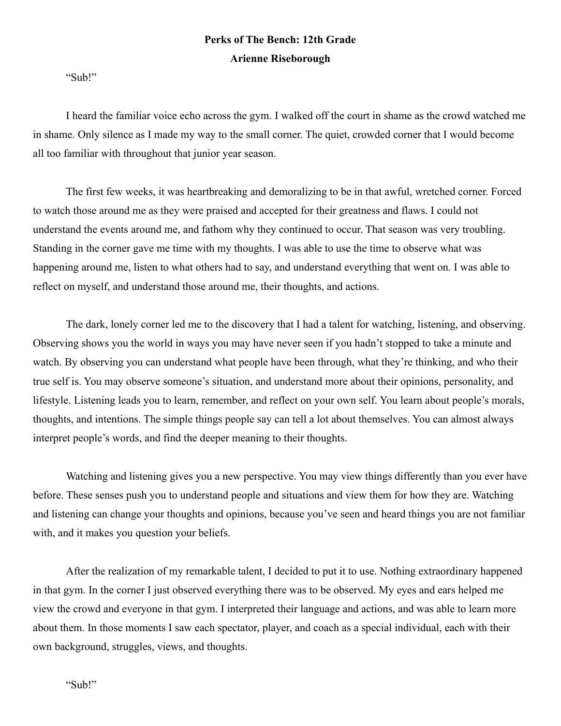## **Perks of The Bench: 12th Grade Arienne Riseborough**

"Sub!"

I heard the familiar voice echo across the gym. I walked off the court in shame as the crowd watched me in shame. Only silence as I made my way to the small corner. The quiet, crowded corner that I would become all too familiar with throughout that junior year season.

The first few weeks, it was heartbreaking and demoralizing to be in that awful, wretched corner. Forced to watch those around me as they were praised and accepted for their greatness and flaws. I could not understand the events around me, and fathom why they continued to occur. That season was very troubling. Standing in the corner gave me time with my thoughts. I was able to use the time to observe what was happening around me, listen to what others had to say, and understand everything that went on. I was able to reflect on myself, and understand those around me, their thoughts, and actions.

The dark, lonely corner led me to the discovery that I had a talent for watching, listening, and observing. Observing shows you the world in ways you may have never seen if you hadn't stopped to take a minute and watch. By observing you can understand what people have been through, what they're thinking, and who their true self is. You may observe someone's situation, and understand more about their opinions, personality, and lifestyle. Listening leads you to learn, remember, and reflect on your own self. You learn about people's morals, thoughts, and intentions. The simple things people say can tell a lot about themselves. You can almost always interpret people's words, and find the deeper meaning to their thoughts.

Watching and listening gives you a new perspective. You may view things differently than you ever have before. These senses push you to understand people and situations and view them for how they are. Watching and listening can change your thoughts and opinions, because you've seen and heard things you are not familiar with, and it makes you question your beliefs.

After the realization of my remarkable talent, I decided to put it to use. Nothing extraordinary happened in that gym. In the corner I just observed everything there was to be observed. My eyes and ears helped me view the crowd and everyone in that gym. I interpreted their language and actions, and was able to learn more about them. In those moments I saw each spectator, player, and coach as a special individual, each with their own background, struggles, views, and thoughts.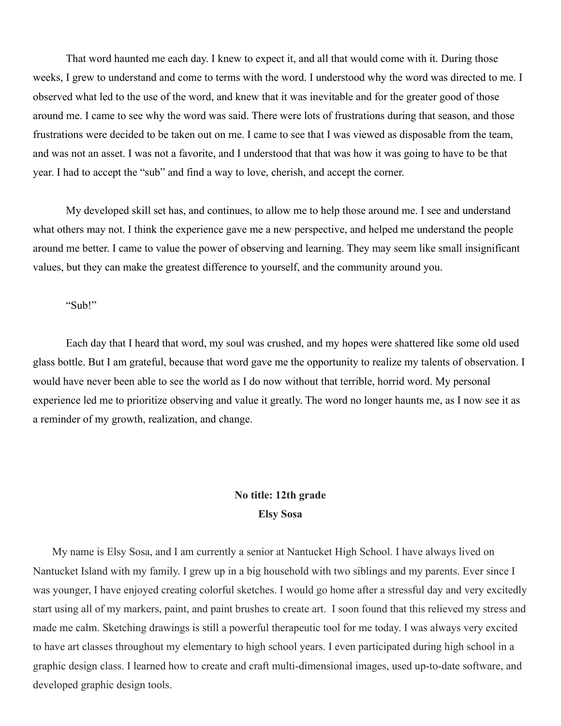That word haunted me each day. I knew to expect it, and all that would come with it. During those weeks, I grew to understand and come to terms with the word. I understood why the word was directed to me. I observed what led to the use of the word, and knew that it was inevitable and for the greater good of those around me. I came to see why the word was said. There were lots of frustrations during that season, and those frustrations were decided to be taken out on me. I came to see that I was viewed as disposable from the team, and was not an asset. I was not a favorite, and I understood that that was how it was going to have to be that year. I had to accept the "sub" and find a way to love, cherish, and accept the corner.

My developed skill set has, and continues, to allow me to help those around me. I see and understand what others may not. I think the experience gave me a new perspective, and helped me understand the people around me better. I came to value the power of observing and learning. They may seem like small insignificant values, but they can make the greatest difference to yourself, and the community around you.

#### "Sub!"

Each day that I heard that word, my soul was crushed, and my hopes were shattered like some old used glass bottle. But I am grateful, because that word gave me the opportunity to realize my talents of observation. I would have never been able to see the world as I do now without that terrible, horrid word. My personal experience led me to prioritize observing and value it greatly. The word no longer haunts me, as I now see it as a reminder of my growth, realization, and change.

### **No title: 12th grade Elsy Sosa**

My name is Elsy Sosa, and I am currently a senior at Nantucket High School. I have always lived on Nantucket Island with my family. I grew up in a big household with two siblings and my parents. Ever since I was younger, I have enjoyed creating colorful sketches. I would go home after a stressful day and very excitedly start using all of my markers, paint, and paint brushes to create art. I soon found that this relieved my stress and made me calm. Sketching drawings is still a powerful therapeutic tool for me today. I was always very excited to have art classes throughout my elementary to high school years. I even participated during high school in a graphic design class. I learned how to create and craft multi-dimensional images, used up-to-date software, and developed graphic design tools.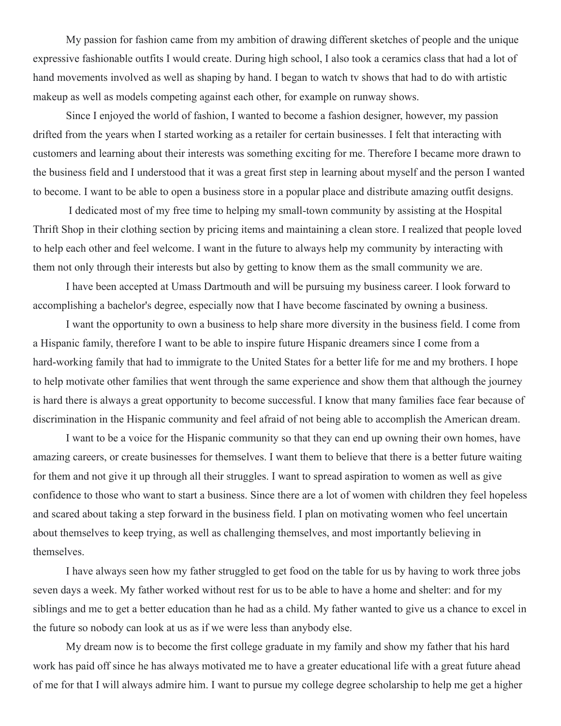My passion for fashion came from my ambition of drawing different sketches of people and the unique expressive fashionable outfits I would create. During high school, I also took a ceramics class that had a lot of hand movements involved as well as shaping by hand. I began to watch tv shows that had to do with artistic makeup as well as models competing against each other, for example on runway shows.

Since I enjoyed the world of fashion, I wanted to become a fashion designer, however, my passion drifted from the years when I started working as a retailer for certain businesses. I felt that interacting with customers and learning about their interests was something exciting for me. Therefore I became more drawn to the business field and I understood that it was a great first step in learning about myself and the person I wanted to become. I want to be able to open a business store in a popular place and distribute amazing outfit designs.

I dedicated most of my free time to helping my small-town community by assisting at the Hospital Thrift Shop in their clothing section by pricing items and maintaining a clean store. I realized that people loved to help each other and feel welcome. I want in the future to always help my community by interacting with them not only through their interests but also by getting to know them as the small community we are.

I have been accepted at Umass Dartmouth and will be pursuing my business career. I look forward to accomplishing a bachelor's degree, especially now that I have become fascinated by owning a business.

I want the opportunity to own a business to help share more diversity in the business field. I come from a Hispanic family, therefore I want to be able to inspire future Hispanic dreamers since I come from a hard-working family that had to immigrate to the United States for a better life for me and my brothers. I hope to help motivate other families that went through the same experience and show them that although the journey is hard there is always a great opportunity to become successful. I know that many families face fear because of discrimination in the Hispanic community and feel afraid of not being able to accomplish the American dream.

I want to be a voice for the Hispanic community so that they can end up owning their own homes, have amazing careers, or create businesses for themselves. I want them to believe that there is a better future waiting for them and not give it up through all their struggles. I want to spread aspiration to women as well as give confidence to those who want to start a business. Since there are a lot of women with children they feel hopeless and scared about taking a step forward in the business field. I plan on motivating women who feel uncertain about themselves to keep trying, as well as challenging themselves, and most importantly believing in themselves.

I have always seen how my father struggled to get food on the table for us by having to work three jobs seven days a week. My father worked without rest for us to be able to have a home and shelter: and for my siblings and me to get a better education than he had as a child. My father wanted to give us a chance to excel in the future so nobody can look at us as if we were less than anybody else.

My dream now is to become the first college graduate in my family and show my father that his hard work has paid off since he has always motivated me to have a greater educational life with a great future ahead of me for that I will always admire him. I want to pursue my college degree scholarship to help me get a higher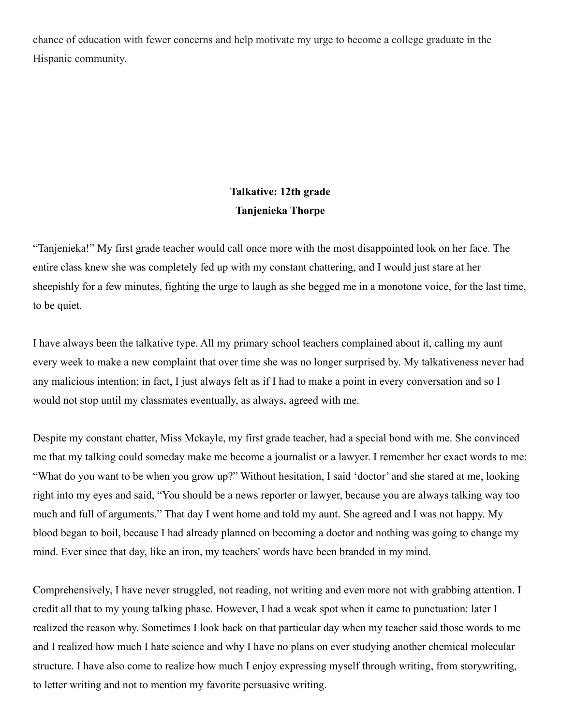chance of education with fewer concerns and help motivate my urge to become a college graduate in the Hispanic community.

## **Talkative: 12th grade Tanjenieka Thorpe**

"Tanjenieka!" My first grade teacher would call once more with the most disappointed look on her face. The entire class knew she was completely fed up with my constant chattering, and I would just stare at her sheepishly for a few minutes, fighting the urge to laugh as she begged me in a monotone voice, for the last time, to be quiet.

I have always been the talkative type. All my primary school teachers complained about it, calling my aunt every week to make a new complaint that over time she was no longer surprised by. My talkativeness never had any malicious intention; in fact, I just always felt as if I had to make a point in every conversation and so I would not stop until my classmates eventually, as always, agreed with me.

Despite my constant chatter, Miss Mckayle, my first grade teacher, had a special bond with me. She convinced me that my talking could someday make me become a journalist or a lawyer. I remember her exact words to me: "What do you want to be when you grow up?" Without hesitation, I said 'doctor' and she stared at me, looking right into my eyes and said, "You should be a news reporter or lawyer, because you are always talking way too much and full of arguments." That day I went home and told my aunt. She agreed and I was not happy. My blood began to boil, because I had already planned on becoming a doctor and nothing was going to change my mind. Ever since that day, like an iron, my teachers' words have been branded in my mind.

Comprehensively, I have never struggled, not reading, not writing and even more not with grabbing attention. I credit all that to my young talking phase. However, I had a weak spot when it came to punctuation: later I realized the reason why. Sometimes I look back on that particular day when my teacher said those words to me and I realized how much I hate science and why I have no plans on ever studying another chemical molecular structure. I have also come to realize how much I enjoy expressing myself through writing, from storywriting, to letter writing and not to mention my favorite persuasive writing.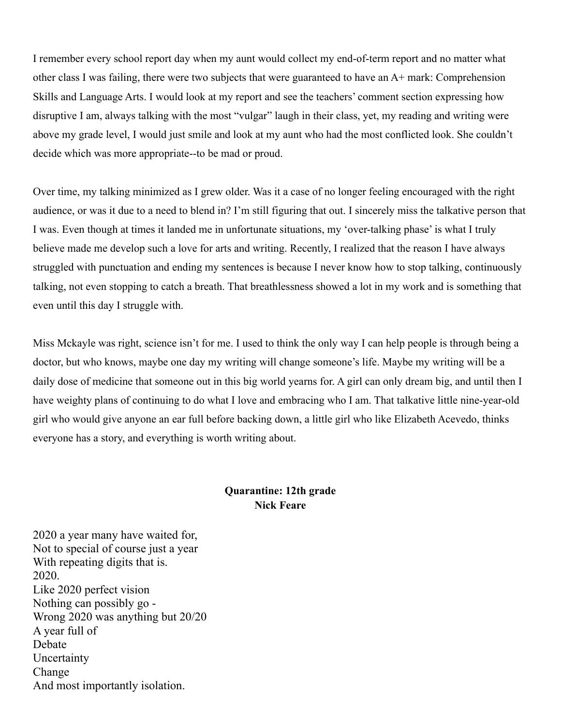I remember every school report day when my aunt would collect my end-of-term report and no matter what other class I was failing, there were two subjects that were guaranteed to have an A+ mark: Comprehension Skills and Language Arts. I would look at my report and see the teachers' comment section expressing how disruptive I am, always talking with the most "vulgar" laugh in their class, yet, my reading and writing were above my grade level, I would just smile and look at my aunt who had the most conflicted look. She couldn't decide which was more appropriate--to be mad or proud.

Over time, my talking minimized as I grew older. Was it a case of no longer feeling encouraged with the right audience, or was it due to a need to blend in? I'm still figuring that out. I sincerely miss the talkative person that I was. Even though at times it landed me in unfortunate situations, my 'over-talking phase' is what I truly believe made me develop such a love for arts and writing. Recently, I realized that the reason I have always struggled with punctuation and ending my sentences is because I never know how to stop talking, continuously talking, not even stopping to catch a breath. That breathlessness showed a lot in my work and is something that even until this day I struggle with.

Miss Mckayle was right, science isn't for me. I used to think the only way I can help people is through being a doctor, but who knows, maybe one day my writing will change someone's life. Maybe my writing will be a daily dose of medicine that someone out in this big world yearns for. A girl can only dream big, and until then I have weighty plans of continuing to do what I love and embracing who I am. That talkative little nine-year-old girl who would give anyone an ear full before backing down, a little girl who like Elizabeth Acevedo, thinks everyone has a story, and everything is worth writing about.

### **Quarantine: 12th grade Nick Feare**

2020 a year many have waited for, Not to special of course just a year With repeating digits that is. 2020. Like 2020 perfect vision Nothing can possibly go - Wrong 2020 was anything but 20/20 A year full of Debate Uncertainty Change And most importantly isolation.